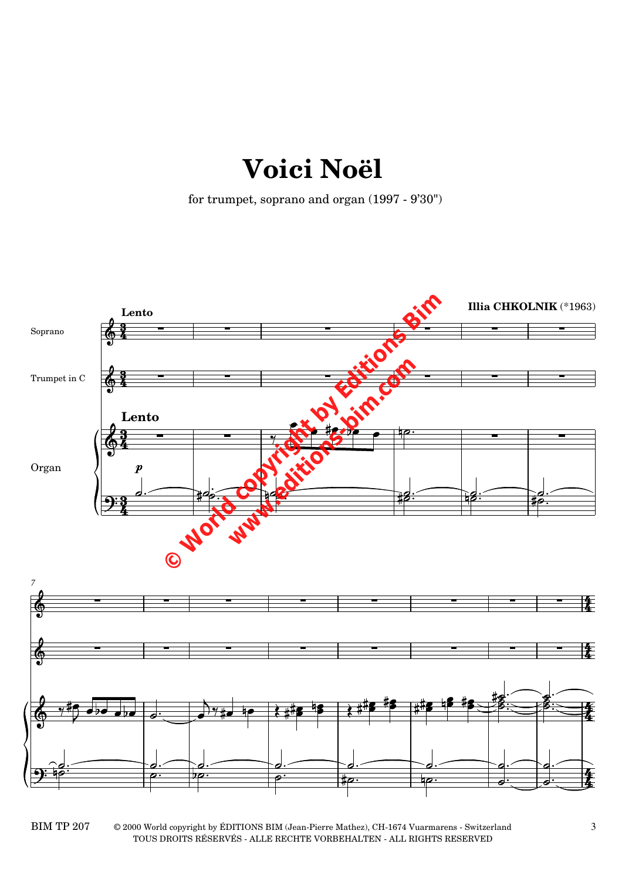## **Voici Noël**

for trumpet, soprano and organ (1997 - 9'30")



BIM TP  $207$   $\hskip 1.6cm$   $\hskip 1.6cm$   $\hskip 1.6cm$   $\hskip 1.6cm$   $\hskip 1.6cm$   $\hskip 1.6cm$   $\hskip 1.6cm$   $\hskip 1.6cm$   $\hskip 1.6cm$   $\hskip 1.6cm$   $\hskip 1.6cm$   $\hskip 1.6cm$   $\hskip 1.6cm$   $\hskip 1.6cm$   $\hskip 1.6cm$   $\hskip 1.6cm$   $\hskip 1.6cm$   $\hskip 1.6cm$   $\hskip 1.6cm$  TOUS DROITS RÉSERVÉS - ALLE RECHTE VORBEHALTEN - ALL RIGHTS RESERVED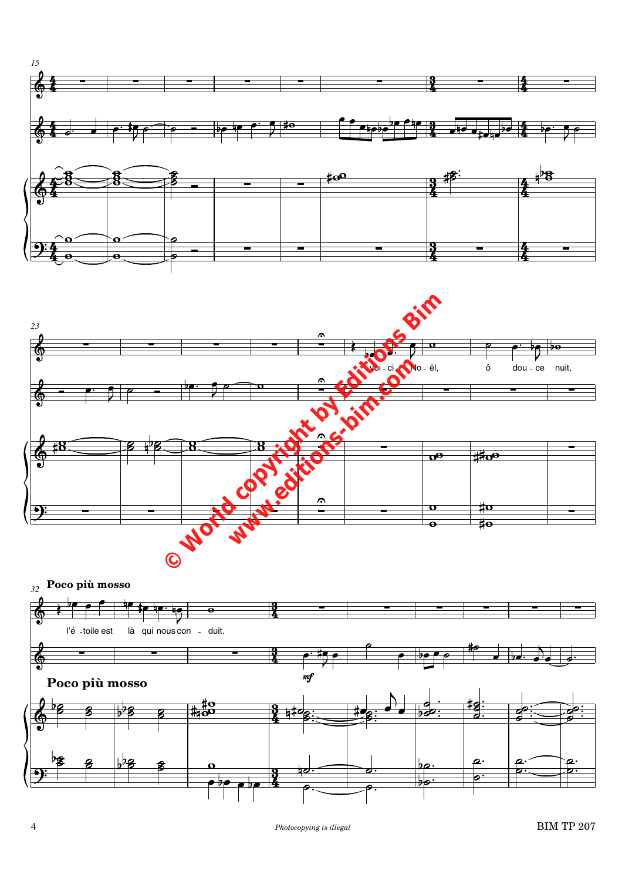



*32* **Poco più mosso**

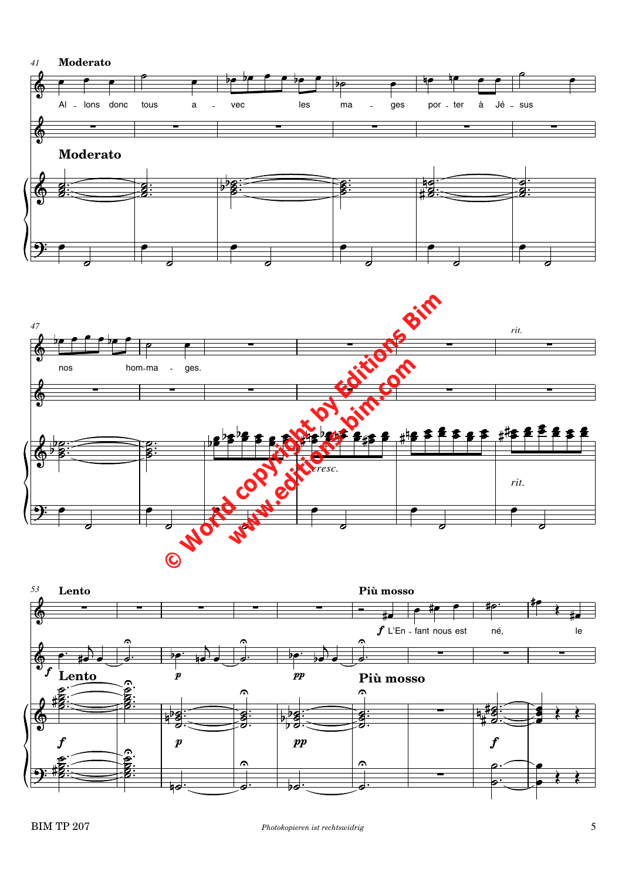